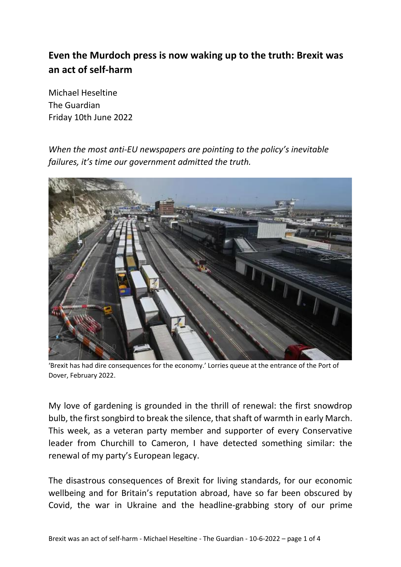## **Even the Murdoch press is now waking up to the truth: Brexit was an act of self-harm**

Michael Heseltine The Guardian Friday 10th June 2022

*When the most anti-EU newspapers are pointing to the policy's inevitable failures, it's time our government admitted the truth.*



'Brexit has had dire consequences for the economy.' Lorries queue at the entrance of the Port of Dover, February 2022.

My love of gardening is grounded in the thrill of renewal: the first snowdrop bulb, the first songbird to break the silence, that shaft of warmth in early March. This week, as a veteran party member and supporter of every Conservative leader from Churchill to Cameron, I have detected something similar: the renewal of my party's European legacy.

The disastrous consequences of Brexit for living standards, for our economic wellbeing and for Britain's reputation abroad, have so far been obscured by Covid, the war in Ukraine and the headline-grabbing story of our prime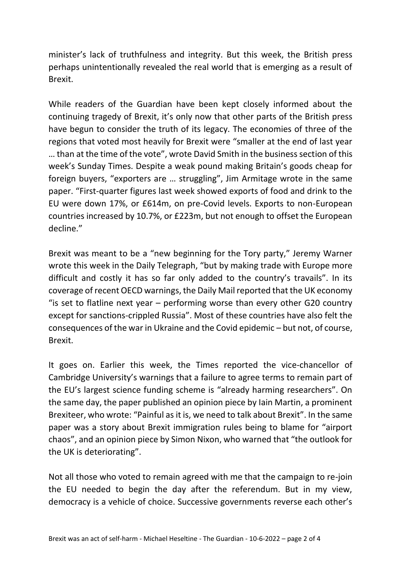minister's lack of truthfulness and integrity. But this week, the British press perhaps unintentionally revealed the real world that is emerging as a result of Brexit.

While readers of the Guardian have been kept closely informed about the continuing tragedy of Brexit, it's only now that other parts of the British press have begun to consider the truth of its legacy. The economies of three of the regions that voted most heavily for Brexit were "smaller at the end of last year … than at the time of the vote", wrote David Smith in the business section of this week's Sunday Times. Despite a weak pound making Britain's goods cheap for foreign buyers, "exporters are … struggling", Jim Armitage wrote in the same paper. "First-quarter figures last week showed exports of food and drink to the EU were down 17%, or £614m, on pre-Covid levels. Exports to non-European countries increased by 10.7%, or £223m, but not enough to offset the European decline."

Brexit was meant to be a "new beginning for the Tory party," Jeremy Warner wrote this week in the Daily Telegraph, "but by making trade with Europe more difficult and costly it has so far only added to the country's travails". In its coverage of recent OECD warnings, the Daily Mail reported that the UK economy "is set to flatline next year  $-$  performing worse than every other G20 country except for sanctions-crippled Russia". Most of these countries have also felt the consequences of the war in Ukraine and the Covid epidemic – but not, of course, Brexit.

It goes on. Earlier this week, the Times reported the vice-chancellor of Cambridge University's warnings that a failure to agree terms to remain part of the EU's largest science funding scheme is "already harming researchers". On the same day, the paper published an opinion piece by Iain Martin, a prominent Brexiteer, who wrote: "Painful as it is, we need to talk about Brexit". In the same paper was a story about Brexit immigration rules being to blame for "airport chaos", and an opinion piece by Simon Nixon, who warned that "the outlook for the UK is deteriorating".

Not all those who voted to remain agreed with me that the campaign to re-join the EU needed to begin the day after the referendum. But in my view, democracy is a vehicle of choice. Successive governments reverse each other's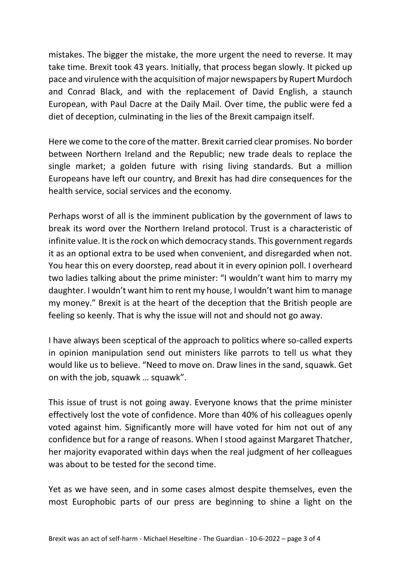mistakes. The bigger the mistake, the more urgent the need to reverse. It may take time. Brexit took 43 years. Initially, that process began slowly. It picked up pace and virulence with the acquisition of major newspapers by Rupert Murdoch and Conrad Black, and with the replacement of David English, a staunch European, with Paul Dacre at the Daily Mail. Over time, the public were fed a diet of deception, culminating in the lies of the Brexit campaign itself.

Here we come to the core of the matter. Brexit carried clear promises. No border between Northern Ireland and the Republic; new trade deals to replace the single market; a golden future with rising living standards. But a million Europeans have left our country, and Brexit has had dire consequences for the health service, social services and the economy.

Perhaps worst of all is the imminent publication by the government of laws to break its word over the Northern Ireland protocol. Trust is a characteristic of infinite value. It is the rock on which democracy stands. This government regards it as an optional extra to be used when convenient, and disregarded when not. You hear this on every doorstep, read about it in every opinion poll. I overheard two ladies talking about the prime minister: "I wouldn't want him to marry my daughter. I wouldn't want him to rent my house, I wouldn't want him to manage my money." Brexit is at the heart of the deception that the British people are feeling so keenly. That is why the issue will not and should not go away.

I have always been sceptical of the approach to politics where so-called experts in opinion manipulation send out ministers like parrots to tell us what they would like us to believe. "Need to move on. Draw lines in the sand, squawk. Get on with the job, squawk … squawk".

This issue of trust is not going away. Everyone knows that the prime minister effectively lost the vote of confidence. More than 40% of his colleagues openly voted against him. Significantly more will have voted for him not out of any confidence but for a range of reasons. When I stood against Margaret Thatcher, her majority evaporated within days when the real judgment of her colleagues was about to be tested for the second time.

Yet as we have seen, and in some cases almost despite themselves, even the most Europhobic parts of our press are beginning to shine a light on the